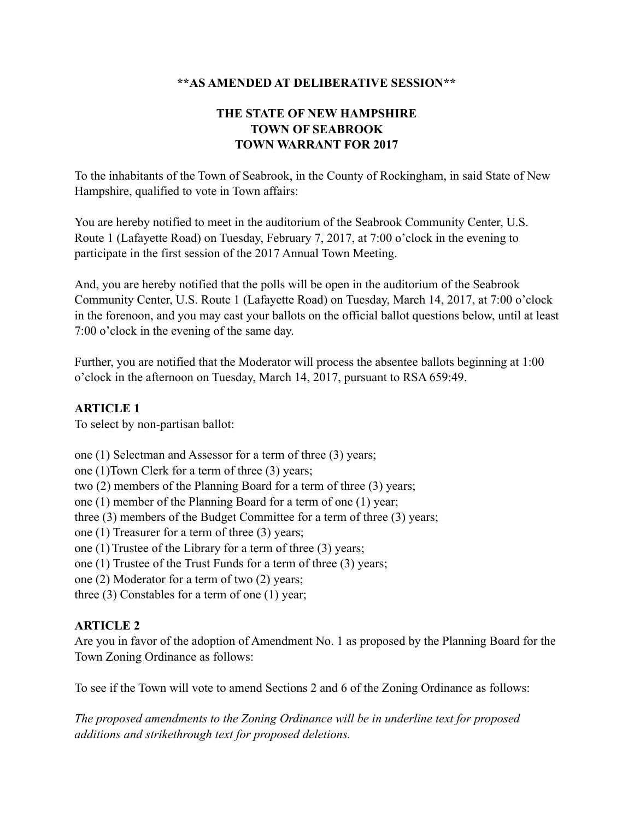## **\*\*AS AMENDED AT DELIBERATIVE SESSION\*\***

# **THE STATE OF NEW HAMPSHIRE TOWN OF SEABROOK TOWN WARRANT FOR 2017**

To the inhabitants of the Town of Seabrook, in the County of Rockingham, in said State of New Hampshire, qualified to vote in Town affairs:

You are hereby notified to meet in the auditorium of the Seabrook Community Center, U.S. Route 1 (Lafayette Road) on Tuesday, February 7, 2017, at 7:00 o'clock in the evening to participate in the first session of the 2017 Annual Town Meeting.

And, you are hereby notified that the polls will be open in the auditorium of the Seabrook Community Center, U.S. Route 1 (Lafayette Road) on Tuesday, March 14, 2017, at 7:00 o'clock in the forenoon, and you may cast your ballots on the official ballot questions below, until at least 7:00 o'clock in the evening of the same day.

Further, you are notified that the Moderator will process the absentee ballots beginning at 1:00 o'clock in the afternoon on Tuesday, March 14, 2017, pursuant to RSA 659:49.

# **ARTICLE 1**

To select by non-partisan ballot:

one (1) Selectman and Assessor for a term of three (3) years; one (1)Town Clerk for a term of three (3) years; two (2) members of the Planning Board for a term of three (3) years; one (1) member of the Planning Board for a term of one (1) year; three (3) members of the Budget Committee for a term of three (3) years; one (1) Treasurer for a term of three (3) years; one (1) Trustee of the Library for a term of three (3) years; one (1) Trustee of the Trust Funds for a term of three (3) years; one (2) Moderator for a term of two (2) years;

three (3) Constables for a term of one (1) year;

# **ARTICLE 2**

Are you in favor of the adoption of Amendment No. 1 as proposed by the Planning Board for the Town Zoning Ordinance as follows:

To see if the Town will vote to amend Sections 2 and 6 of the Zoning Ordinance as follows:

*The proposed amendments to the Zoning Ordinance will be in underline text for proposed additions and strikethrough text for proposed deletions.*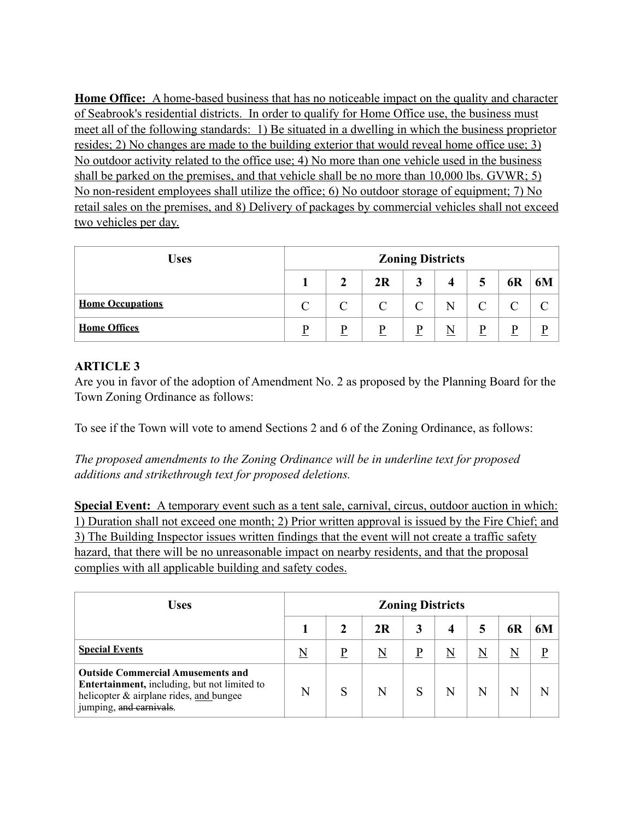**Home Office:** A home-based business that has no noticeable impact on the quality and character of Seabrook's residential districts. In order to qualify for Home Office use, the business must meet all of the following standards: 1) Be situated in a dwelling in which the business proprietor resides; 2) No changes are made to the building exterior that would reveal home office use; 3) No outdoor activity related to the office use; 4) No more than one vehicle used in the business shall be parked on the premises, and that vehicle shall be no more than 10,000 lbs. GVWR; 5) No non-resident employees shall utilize the office; 6) No outdoor storage of equipment; 7) No retail sales on the premises, and 8) Delivery of packages by commercial vehicles shall not exceed two vehicles per day.

| <b>Uses</b>             | <b>Zoning Districts</b> |               |               |   |   |   |    |                    |  |
|-------------------------|-------------------------|---------------|---------------|---|---|---|----|--------------------|--|
|                         |                         |               | 2R            | 3 | 4 | 5 | 6R | 6M                 |  |
| <b>Home Occupations</b> | $\Gamma$                | $\mathcal{C}$ | $\mathcal{C}$ |   | N |   |    | $\curvearrowright$ |  |
| <b>Home Offices</b>     | D                       | D             | p             | D | N | D | Þ  | D                  |  |

## **ARTICLE 3**

Are you in favor of the adoption of Amendment No. 2 as proposed by the Planning Board for the Town Zoning Ordinance as follows:

To see if the Town will vote to amend Sections 2 and 6 of the Zoning Ordinance, as follows:

*The proposed amendments to the Zoning Ordinance will be in underline text for proposed additions and strikethrough text for proposed deletions.* 

**Special Event:** A temporary event such as a tent sale, carnival, circus, outdoor auction in which: 1) Duration shall not exceed one month; 2) Prior written approval is issued by the Fire Chief; and 3) The Building Inspector issues written findings that the event will not create a traffic safety hazard, that there will be no unreasonable impact on nearby residents, and that the proposal complies with all applicable building and safety codes.

| Uses                                                                                                                                                                  | <b>Zoning Districts</b> |   |    |  |   |   |    |             |
|-----------------------------------------------------------------------------------------------------------------------------------------------------------------------|-------------------------|---|----|--|---|---|----|-------------|
|                                                                                                                                                                       |                         |   | 2R |  | 4 |   | 6R | 6M          |
| <b>Special Events</b>                                                                                                                                                 | N                       |   | N  |  | N | N |    | $\mathbf P$ |
| <b>Outside Commercial Amusements and</b><br><b>Entertainment, including, but not limited to</b><br>helicopter & airplane rides, and bungee<br>jumping, and carnivals. | N                       | S | N  |  | N | N |    | N           |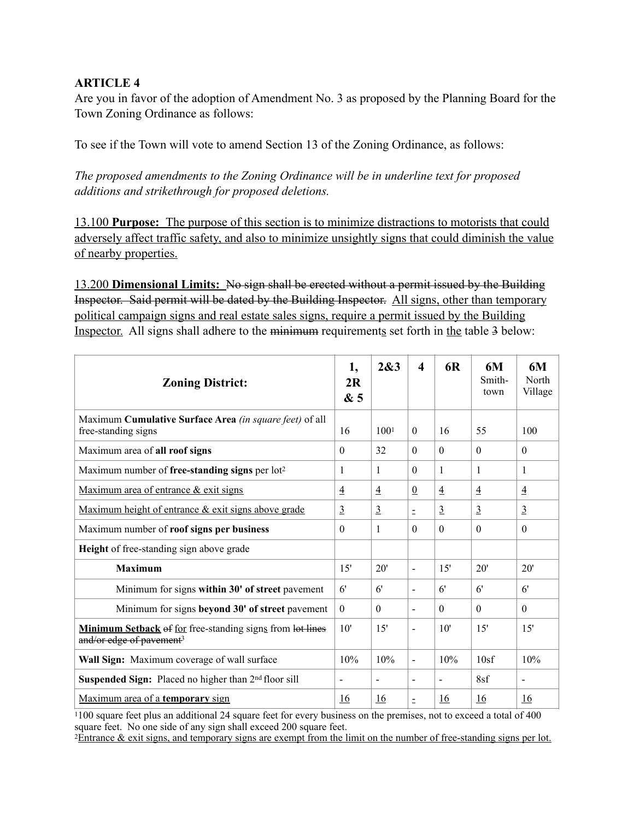## **ARTICLE 4**

Are you in favor of the adoption of Amendment No. 3 as proposed by the Planning Board for the Town Zoning Ordinance as follows:

To see if the Town will vote to amend Section 13 of the Zoning Ordinance, as follows:

*The proposed amendments to the Zoning Ordinance will be in underline text for proposed additions and strikethrough for proposed deletions.* 

13.100 **Purpose:** The purpose of this section is to minimize distractions to motorists that could adversely affect traffic safety, and also to minimize unsightly signs that could diminish the value of nearby properties.

13.200 **Dimensional Limits:** No sign shall be erected without a permit issued by the Building Inspector. Said permit will be dated by the Building Inspector. All signs, other than temporary political campaign signs and real estate sales signs, require a permit issued by the Building Inspector. All signs shall adhere to the minimum requirements set forth in the table 3 below:

| <b>Zoning District:</b>                                                                                  |                | 2&3              | $\boldsymbol{4}$             | <b>6R</b>      | 6M<br>Smith-<br>town | 6M<br>North<br>Village |
|----------------------------------------------------------------------------------------------------------|----------------|------------------|------------------------------|----------------|----------------------|------------------------|
| Maximum Cumulative Surface Area (in square feet) of all<br>free-standing signs                           | 16             | 100 <sup>1</sup> | $\theta$                     | 16             | 55                   | 100                    |
| Maximum area of all roof signs                                                                           | $\theta$       | 32               | $\theta$                     | $\theta$       | $\theta$             | $\theta$               |
| Maximum number of free-standing signs per $lot2$                                                         | 1              | 1                | $\Omega$                     | 1              | 1                    | 1                      |
| Maximum area of entrance & exit signs                                                                    | $\overline{4}$ | $\overline{4}$   | $\underline{0}$              | $\overline{4}$ | $\overline{4}$       | $\overline{4}$         |
| Maximum height of entrance & exit signs above grade                                                      | $\overline{3}$ | $\overline{3}$   | $\equiv$                     | $\overline{3}$ | $\overline{3}$       | $\overline{3}$         |
| Maximum number of roof signs per business                                                                | $\Omega$       | 1                | $\Omega$                     | $\Omega$       | $\Omega$             | $\Omega$               |
| <b>Height</b> of free-standing sign above grade                                                          |                |                  |                              |                |                      |                        |
| <b>Maximum</b>                                                                                           | 15'            | 20'              | $\qquad \qquad \blacksquare$ | 15'            | 20'                  | 20'                    |
| Minimum for signs within 30' of street pavement                                                          | 6'             | 6'               | $\overline{a}$               | 6'             | 6'                   | 6'                     |
| Minimum for signs beyond 30' of street pavement                                                          | $\theta$       | $\Omega$         | $\blacksquare$               | $\Omega$       | $\Omega$             | $\Omega$               |
| <b>Minimum Setback</b> of for free-standing signs from lot lines<br>and/or edge of pavement <sup>3</sup> | 10'            | 15'              | $\overline{\phantom{a}}$     | 10'            | 15'                  | 15'                    |
| Wall Sign: Maximum coverage of wall surface                                                              | 10%            | 10%              | $\blacksquare$               | 10%            | 10sf                 | 10%                    |
| Suspended Sign: Placed no higher than 2 <sup>nd</sup> floor sill                                         | $\blacksquare$ | L,               | $\overline{\phantom{a}}$     |                | 8sf                  | $\overline{a}$         |
| Maximum area of a temporary sign                                                                         | <u>16</u>      | <u>16</u>        | $\equiv$                     | <u>16</u>      | 16                   | <u>16</u>              |

1100 square feet plus an additional 24 square feet for every business on the premises, not to exceed a total of 400 square feet. No one side of any sign shall exceed 200 square feet.

2Entrance & exit signs, and temporary signs are exempt from the limit on the number of free-standing signs per lot.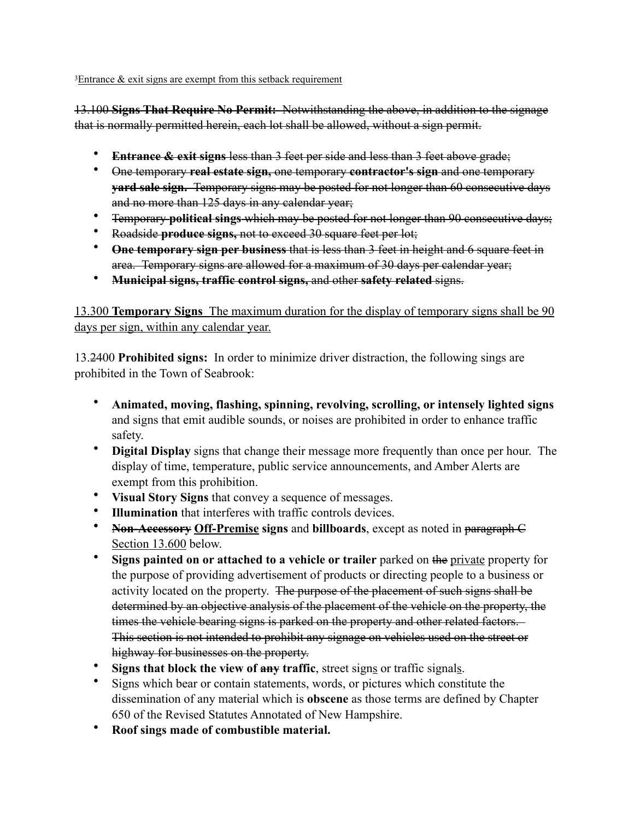$3E$ ntrance  $\&$  exit signs are exempt from this setback requirement

13.100 **Signs That Require No Permit:** Notwithstanding the above, in addition to the signage that is normally permitted herein, each lot shall be allowed, without a sign permit.

- **Entrance & exit signs less than 3 feet per side and less than 3 feet above grade;**
- One temporary **real estate sign,** one temporary **contractor's sign** and one temporary **yard sale sign.** Temporary signs may be posted for not longer than 60 consecutive days and no more than 125 days in any calendar year;
- Temporary **political sings** which may be posted for not longer than 90 consecutive days;
- Roadside **produce signs,** not to exceed 30 square feet per lot;
- **One temporary sign per business** that is less than 3 feet in height and 6 square feet in area. Temporary signs are allowed for a maximum of 30 days per calendar year;
- **Municipal signs, traffic control signs,** and other **safety related** signs.

13.300 **Temporary Signs** The maximum duration for the display of temporary signs shall be 90 days per sign, within any calendar year.

13.2400 **Prohibited signs:** In order to minimize driver distraction, the following sings are prohibited in the Town of Seabrook:

- **Animated, moving, flashing, spinning, revolving, scrolling, or intensely lighted signs** and signs that emit audible sounds, or noises are prohibited in order to enhance traffic safety.
- **Digital Display** signs that change their message more frequently than once per hour. The display of time, temperature, public service announcements, and Amber Alerts are exempt from this prohibition.
- **Visual Story Signs** that convey a sequence of messages.
- **Illumination** that interferes with traffic controls devices.
- **Non-Accessory Off-Premise signs** and **billboards**, except as noted in paragraph C Section 13.600 below.
- **Signs painted on or attached to a vehicle or trailer** parked on the private property for the purpose of providing advertisement of products or directing people to a business or activity located on the property. The purpose of the placement of such signs shall be determined by an objective analysis of the placement of the vehicle on the property, the times the vehicle bearing signs is parked on the property and other related factors. This section is not intended to prohibit any signage on vehicles used on the street or highway for businesses on the property.
- **Signs that block the view of any traffic**, street signs or traffic signals.
- Signs which bear or contain statements, words, or pictures which constitute the dissemination of any material which is **obscene** as those terms are defined by Chapter 650 of the Revised Statutes Annotated of New Hampshire.
- **Roof sings made of combustible material.**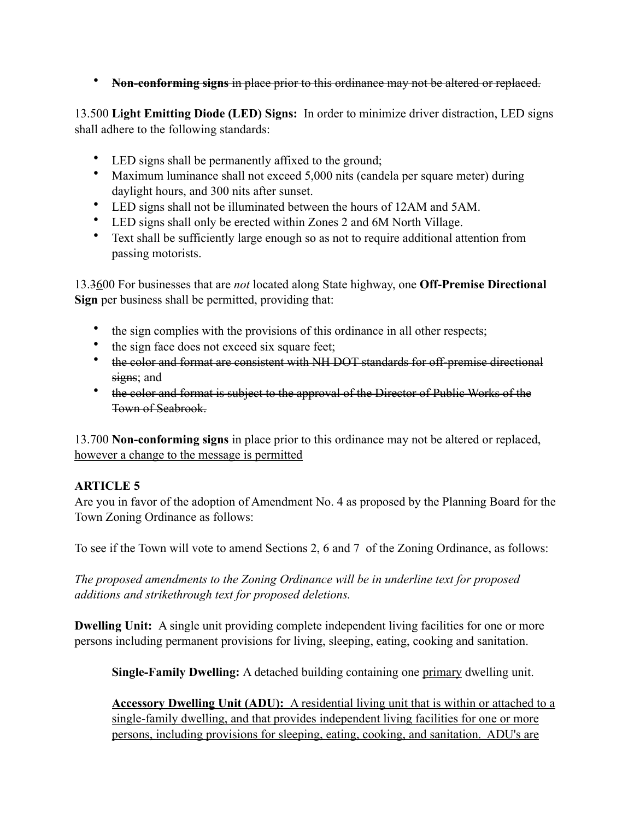• **Non-conforming signs** in place prior to this ordinance may not be altered or replaced.

13.500 **Light Emitting Diode (LED) Signs:** In order to minimize driver distraction, LED signs shall adhere to the following standards:

- LED signs shall be permanently affixed to the ground;
- Maximum luminance shall not exceed 5,000 nits (candela per square meter) during daylight hours, and 300 nits after sunset.
- LED signs shall not be illuminated between the hours of 12AM and 5AM.
- LED signs shall only be erected within Zones 2 and 6M North Village.
- Text shall be sufficiently large enough so as not to require additional attention from passing motorists.

13.3600 For businesses that are *not* located along State highway, one **Off-Premise Directional Sign** per business shall be permitted, providing that:

- the sign complies with the provisions of this ordinance in all other respects;
- the sign face does not exceed six square feet;
- the color and format are consistent with NH DOT standards for off-premise directional signs; and
- the color and format is subject to the approval of the Director of Public Works of the Town of Seabrook.

13.700 **Non-conforming signs** in place prior to this ordinance may not be altered or replaced, however a change to the message is permitted

# **ARTICLE 5**

Are you in favor of the adoption of Amendment No. 4 as proposed by the Planning Board for the Town Zoning Ordinance as follows:

To see if the Town will vote to amend Sections 2, 6 and 7 of the Zoning Ordinance, as follows:

*The proposed amendments to the Zoning Ordinance will be in underline text for proposed additions and strikethrough text for proposed deletions.* 

**Dwelling Unit:** A single unit providing complete independent living facilities for one or more persons including permanent provisions for living, sleeping, eating, cooking and sanitation.

**Single-Family Dwelling:** A detached building containing one primary dwelling unit.

**Accessory Dwelling Unit (ADU):** A residential living unit that is within or attached to a single-family dwelling, and that provides independent living facilities for one or more persons, including provisions for sleeping, eating, cooking, and sanitation. ADU's are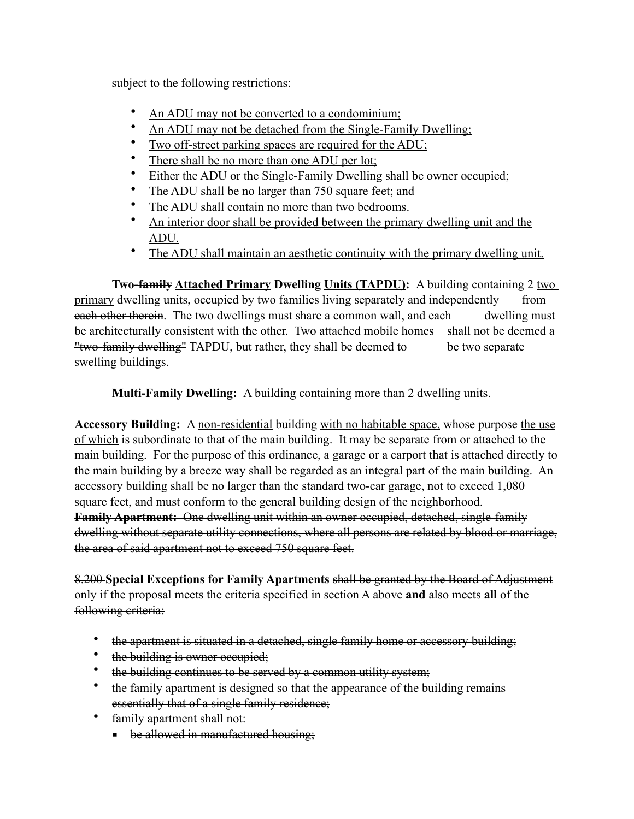subject to the following restrictions:

- An ADU may not be converted to a condominium;
- An ADU may not be detached from the Single-Family Dwelling;
- Two off-street parking spaces are required for the ADU;
- There shall be no more than one ADU per lot;
- Either the ADU or the Single-Family Dwelling shall be owner occupied;
- The ADU shall be no larger than 750 square feet; and
- The ADU shall contain no more than two bedrooms.
- An interior door shall be provided between the primary dwelling unit and the ADU.
- The ADU shall maintain an aesthetic continuity with the primary dwelling unit.

**Two-family Attached Primary Dwelling Units (TAPDU):** A building containing 2 two primary dwelling units, occupied by two families living separately and independently from each other therein. The two dwellings must share a common wall, and each dwelling must be architecturally consistent with the other. Two attached mobile homes shall not be deemed a "two-family dwelling" TAPDU, but rather, they shall be deemed to be two separate swelling buildings.

**Multi-Family Dwelling:** A building containing more than 2 dwelling units.

Accessory Building: A non-residential building with no habitable space, whose purpose the use of which is subordinate to that of the main building. It may be separate from or attached to the main building. For the purpose of this ordinance, a garage or a carport that is attached directly to the main building by a breeze way shall be regarded as an integral part of the main building. An accessory building shall be no larger than the standard two-car garage, not to exceed 1,080 square feet, and must conform to the general building design of the neighborhood. **Family Apartment:** One dwelling unit within an owner occupied, detached, single-family dwelling without separate utility connections, where all persons are related by blood or marriage, the area of said apartment not to exceed 750 square feet.

8.200 **Special Exceptions for Family Apartments** shall be granted by the Board of Adjustment only if the proposal meets the criteria specified in section A above **and** also meets **all** of the following criteria:

- the apartment is situated in a detached, single family home or accessory building;
- the building is owner occupied;
- the building continues to be served by a common utility system;
- the family apartment is designed so that the appearance of the building remains essentially that of a single family residence;
- family apartment shall not:
	- **•** be allowed in manufactured housing;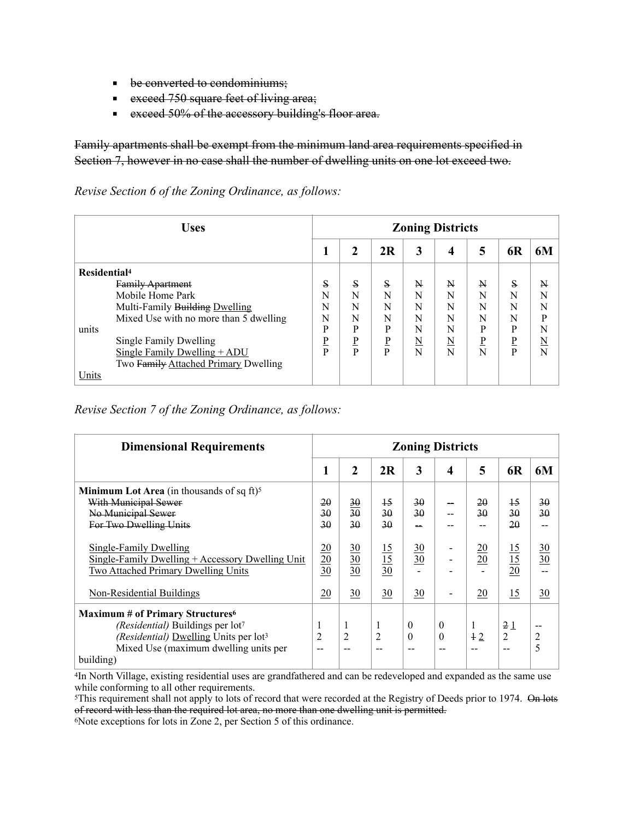- **•** be converted to condominiums;
- **Exceed 750 square feet of living area;**
- **Exceed 50% of the accessory building's floor area.**

Family apartments shall be exempt from the minimum land area requirements specified in Section 7, however in no case shall the number of dwelling units on one lot exceed two.

#### *Revise Section 6 of the Zoning Ordinance, as follows:*

| <b>Uses</b>                            | <b>Zoning Districts</b> |              |             |                          |                     |   |    |                     |
|----------------------------------------|-------------------------|--------------|-------------|--------------------------|---------------------|---|----|---------------------|
|                                        |                         |              | 2R          | 3                        | 4                   | 5 | 6R | 6M                  |
| Residential <sup>4</sup>               |                         |              |             |                          |                     |   |    |                     |
| <b>Family Apartment</b>                | S                       | $\mathbf{s}$ | S           | N                        | N                   | N | S  | N                   |
| Mobile Home Park                       | N                       | N            | N           | N                        | N                   | N | N  | N                   |
| Multi-Family Building Dwelling         | N                       | N            | N           | N                        | N                   | N | N  | N                   |
| Mixed Use with no more than 5 dwelling | N                       | N            | N           | N                        | N                   | N | N  | P                   |
| units                                  | P                       | D            | P           | N                        | N                   | P | P  | N                   |
| Single Family Dwelling                 | P                       | ₽            | $\mathbf P$ | $\underline{\mathbf{N}}$ | $\underline{\rm N}$ | ₽ | P  | $\underline{\rm N}$ |
| Single Family Dwelling + ADU           | P                       | D            | P           | N                        | N                   | N | P  | N                   |
| Two Family Attached Primary Dwelling   |                         |              |             |                          |                     |   |    |                     |
| Units                                  |                         |              |             |                          |                     |   |    |                     |

*Revise Section 7 of the Zoning Ordinance, as follows:* 

| <b>Dimensional Requirements</b>                                                                                                                                                                    | <b>Zoning Districts</b>            |                                     |                                      |                      |                                   |                 |                                    |                           |
|----------------------------------------------------------------------------------------------------------------------------------------------------------------------------------------------------|------------------------------------|-------------------------------------|--------------------------------------|----------------------|-----------------------------------|-----------------|------------------------------------|---------------------------|
|                                                                                                                                                                                                    | 1                                  | 2                                   | 2R                                   | 3                    | 4                                 | 5               | <b>6R</b>                          | 6M                        |
| <b>Minimum Lot Area</b> (in thousands of sq ft) <sup>5</sup><br>With Municipal Sewer<br>No Municipal Sewer<br>For Two Dwelling Units                                                               | 20<br>30<br>30                     | $\frac{30}{2}$<br>30<br>30          | $\downarrow$ 5<br>30<br>$30^{\circ}$ | 30<br>$30^{\circ}$   |                                   | 20<br>30        | $\overline{15}$<br>30<br>20        | 30<br>30                  |
| Single-Family Dwelling<br>Single-Family Dwelling + Accessory Dwelling Unit<br>Two Attached Primary Dwelling Units                                                                                  | $\frac{20}{20}$<br>$\frac{30}{30}$ | $\underline{30}$<br>$\frac{30}{30}$ | $\frac{15}{15}$<br>$\frac{15}{30}$   | $\frac{30}{30}$      |                                   | $\frac{20}{20}$ | $\frac{15}{15}$<br>$\frac{15}{20}$ | $\frac{30}{30}$           |
| Non-Residential Buildings                                                                                                                                                                          | 20                                 | $\frac{30}{5}$                      | $\underline{30}$                     | $\overline{30}$      |                                   | 20              | 15                                 | 30                        |
| <b>Maximum # of Primary Structures</b> <sup>6</sup><br>(Residential) Buildings per lot7<br>(Residential) Dwelling Units per lot <sup>3</sup><br>Mixed Use (maximum dwelling units per<br>building) | 1<br>$\overline{2}$                | 1<br>$\overline{2}$                 | 1<br>$\overline{2}$<br>--            | $\theta$<br>$\theta$ | $\overline{0}$<br>$\theta$<br>$-$ | 1<br>$+2$       | 21<br>2                            | --<br>$\overline{2}$<br>5 |

4In North Village, existing residential uses are grandfathered and can be redeveloped and expanded as the same use while conforming to all other requirements.

<sup>5</sup>This requirement shall not apply to lots of record that were recorded at the Registry of Deeds prior to 1974. On lots of record with less than the required lot area, no more than one dwelling unit is permitted.

6Note exceptions for lots in Zone 2, per Section 5 of this ordinance.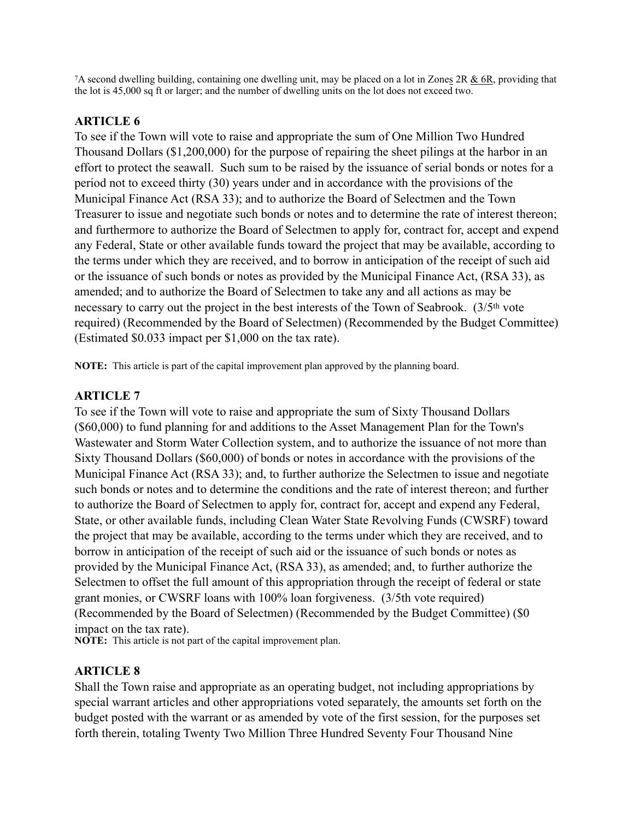7A second dwelling building, containing one dwelling unit, may be placed on a lot in Zones 2R & 6R, providing that the lot is 45,000 sq ft or larger; and the number of dwelling units on the lot does not exceed two.

#### **ARTICLE 6**

To see if the Town will vote to raise and appropriate the sum of One Million Two Hundred Thousand Dollars (\$1,200,000) for the purpose of repairing the sheet pilings at the harbor in an effort to protect the seawall. Such sum to be raised by the issuance of serial bonds or notes for a period not to exceed thirty (30) years under and in accordance with the provisions of the Municipal Finance Act (RSA 33); and to authorize the Board of Selectmen and the Town Treasurer to issue and negotiate such bonds or notes and to determine the rate of interest thereon; and furthermore to authorize the Board of Selectmen to apply for, contract for, accept and expend any Federal, State or other available funds toward the project that may be available, according to the terms under which they are received, and to borrow in anticipation of the receipt of such aid or the issuance of such bonds or notes as provided by the Municipal Finance Act, (RSA 33), as amended; and to authorize the Board of Selectmen to take any and all actions as may be necessary to carry out the project in the best interests of the Town of Seabrook. (3/5<sup>th</sup> vote required) (Recommended by the Board of Selectmen) (Recommended by the Budget Committee) (Estimated \$0.033 impact per \$1,000 on the tax rate).

**NOTE:** This article is part of the capital improvement plan approved by the planning board.

#### **ARTICLE 7**

To see if the Town will vote to raise and appropriate the sum of Sixty Thousand Dollars (\$60,000) to fund planning for and additions to the Asset Management Plan for the Town's Wastewater and Storm Water Collection system, and to authorize the issuance of not more than Sixty Thousand Dollars (\$60,000) of bonds or notes in accordance with the provisions of the Municipal Finance Act (RSA 33); and, to further authorize the Selectmen to issue and negotiate such bonds or notes and to determine the conditions and the rate of interest thereon; and further to authorize the Board of Selectmen to apply for, contract for, accept and expend any Federal, State, or other available funds, including Clean Water State Revolving Funds (CWSRF) toward the project that may be available, according to the terms under which they are received, and to borrow in anticipation of the receipt of such aid or the issuance of such bonds or notes as provided by the Municipal Finance Act, (RSA 33), as amended; and, to further authorize the Selectmen to offset the full amount of this appropriation through the receipt of federal or state grant monies, or CWSRF loans with 100% loan forgiveness. (3/5th vote required) (Recommended by the Board of Selectmen) (Recommended by the Budget Committee) (\$0 impact on the tax rate).

**NOTE:** This article is not part of the capital improvement plan.

#### **ARTICLE 8**

Shall the Town raise and appropriate as an operating budget, not including appropriations by special warrant articles and other appropriations voted separately, the amounts set forth on the budget posted with the warrant or as amended by vote of the first session, for the purposes set forth therein, totaling Twenty Two Million Three Hundred Seventy Four Thousand Nine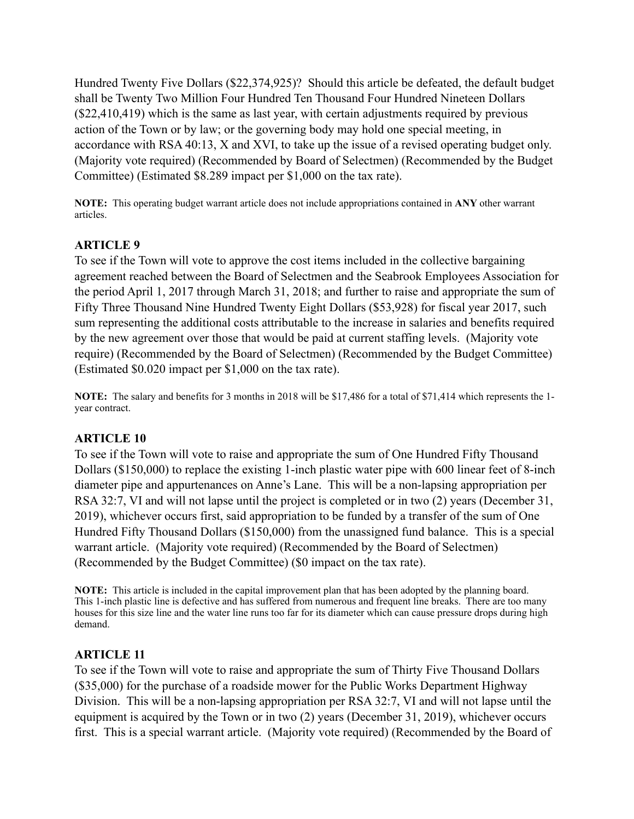Hundred Twenty Five Dollars (\$22,374,925)? Should this article be defeated, the default budget shall be Twenty Two Million Four Hundred Ten Thousand Four Hundred Nineteen Dollars (\$22,410,419) which is the same as last year, with certain adjustments required by previous action of the Town or by law; or the governing body may hold one special meeting, in accordance with RSA 40:13, X and XVI, to take up the issue of a revised operating budget only. (Majority vote required) (Recommended by Board of Selectmen) (Recommended by the Budget Committee) (Estimated \$8.289 impact per \$1,000 on the tax rate).

**NOTE:** This operating budget warrant article does not include appropriations contained in **ANY** other warrant articles.

#### **ARTICLE 9**

To see if the Town will vote to approve the cost items included in the collective bargaining agreement reached between the Board of Selectmen and the Seabrook Employees Association for the period April 1, 2017 through March 31, 2018; and further to raise and appropriate the sum of Fifty Three Thousand Nine Hundred Twenty Eight Dollars (\$53,928) for fiscal year 2017, such sum representing the additional costs attributable to the increase in salaries and benefits required by the new agreement over those that would be paid at current staffing levels. (Majority vote require) (Recommended by the Board of Selectmen) (Recommended by the Budget Committee) (Estimated \$0.020 impact per \$1,000 on the tax rate).

**NOTE:** The salary and benefits for 3 months in 2018 will be \$17,486 for a total of \$71,414 which represents the 1 year contract.

#### **ARTICLE 10**

To see if the Town will vote to raise and appropriate the sum of One Hundred Fifty Thousand Dollars (\$150,000) to replace the existing 1-inch plastic water pipe with 600 linear feet of 8-inch diameter pipe and appurtenances on Anne's Lane. This will be a non-lapsing appropriation per RSA 32:7, VI and will not lapse until the project is completed or in two (2) years (December 31, 2019), whichever occurs first, said appropriation to be funded by a transfer of the sum of One Hundred Fifty Thousand Dollars (\$150,000) from the unassigned fund balance. This is a special warrant article. (Majority vote required) (Recommended by the Board of Selectmen) (Recommended by the Budget Committee) (\$0 impact on the tax rate).

**NOTE:** This article is included in the capital improvement plan that has been adopted by the planning board. This 1-inch plastic line is defective and has suffered from numerous and frequent line breaks. There are too many houses for this size line and the water line runs too far for its diameter which can cause pressure drops during high demand.

#### **ARTICLE 11**

To see if the Town will vote to raise and appropriate the sum of Thirty Five Thousand Dollars (\$35,000) for the purchase of a roadside mower for the Public Works Department Highway Division. This will be a non-lapsing appropriation per RSA 32:7, VI and will not lapse until the equipment is acquired by the Town or in two (2) years (December 31, 2019), whichever occurs first. This is a special warrant article. (Majority vote required) (Recommended by the Board of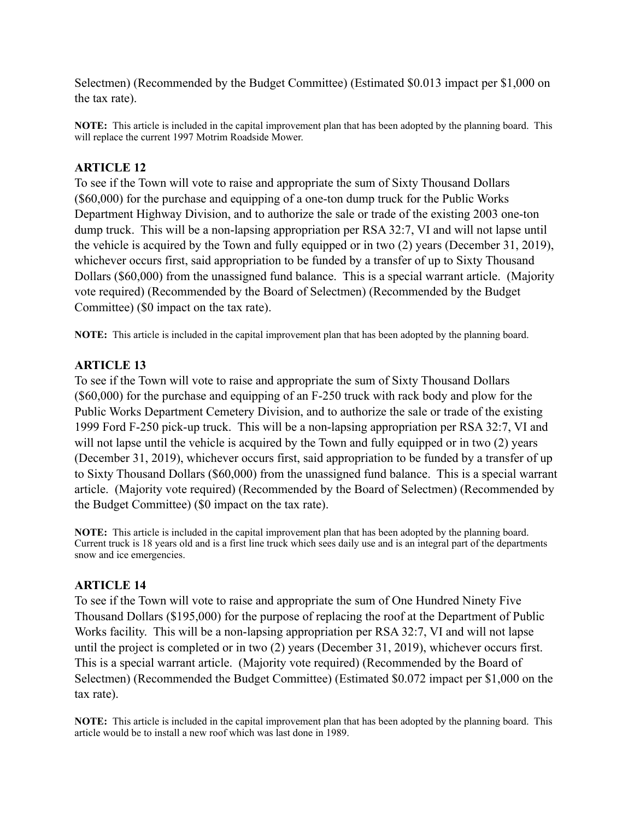Selectmen) (Recommended by the Budget Committee) (Estimated \$0.013 impact per \$1,000 on the tax rate).

**NOTE:** This article is included in the capital improvement plan that has been adopted by the planning board. This will replace the current 1997 Motrim Roadside Mower.

## **ARTICLE 12**

To see if the Town will vote to raise and appropriate the sum of Sixty Thousand Dollars (\$60,000) for the purchase and equipping of a one-ton dump truck for the Public Works Department Highway Division, and to authorize the sale or trade of the existing 2003 one-ton dump truck. This will be a non-lapsing appropriation per RSA 32:7, VI and will not lapse until the vehicle is acquired by the Town and fully equipped or in two (2) years (December 31, 2019), whichever occurs first, said appropriation to be funded by a transfer of up to Sixty Thousand Dollars (\$60,000) from the unassigned fund balance. This is a special warrant article. (Majority vote required) (Recommended by the Board of Selectmen) (Recommended by the Budget Committee) (\$0 impact on the tax rate).

**NOTE:** This article is included in the capital improvement plan that has been adopted by the planning board.

## **ARTICLE 13**

To see if the Town will vote to raise and appropriate the sum of Sixty Thousand Dollars (\$60,000) for the purchase and equipping of an F-250 truck with rack body and plow for the Public Works Department Cemetery Division, and to authorize the sale or trade of the existing 1999 Ford F-250 pick-up truck. This will be a non-lapsing appropriation per RSA 32:7, VI and will not lapse until the vehicle is acquired by the Town and fully equipped or in two (2) years (December 31, 2019), whichever occurs first, said appropriation to be funded by a transfer of up to Sixty Thousand Dollars (\$60,000) from the unassigned fund balance. This is a special warrant article. (Majority vote required) (Recommended by the Board of Selectmen) (Recommended by the Budget Committee) (\$0 impact on the tax rate).

**NOTE:** This article is included in the capital improvement plan that has been adopted by the planning board. Current truck is 18 years old and is a first line truck which sees daily use and is an integral part of the departments snow and ice emergencies.

## **ARTICLE 14**

To see if the Town will vote to raise and appropriate the sum of One Hundred Ninety Five Thousand Dollars (\$195,000) for the purpose of replacing the roof at the Department of Public Works facility. This will be a non-lapsing appropriation per RSA 32:7, VI and will not lapse until the project is completed or in two (2) years (December 31, 2019), whichever occurs first. This is a special warrant article. (Majority vote required) (Recommended by the Board of Selectmen) (Recommended the Budget Committee) (Estimated \$0.072 impact per \$1,000 on the tax rate).

**NOTE:** This article is included in the capital improvement plan that has been adopted by the planning board. This article would be to install a new roof which was last done in 1989.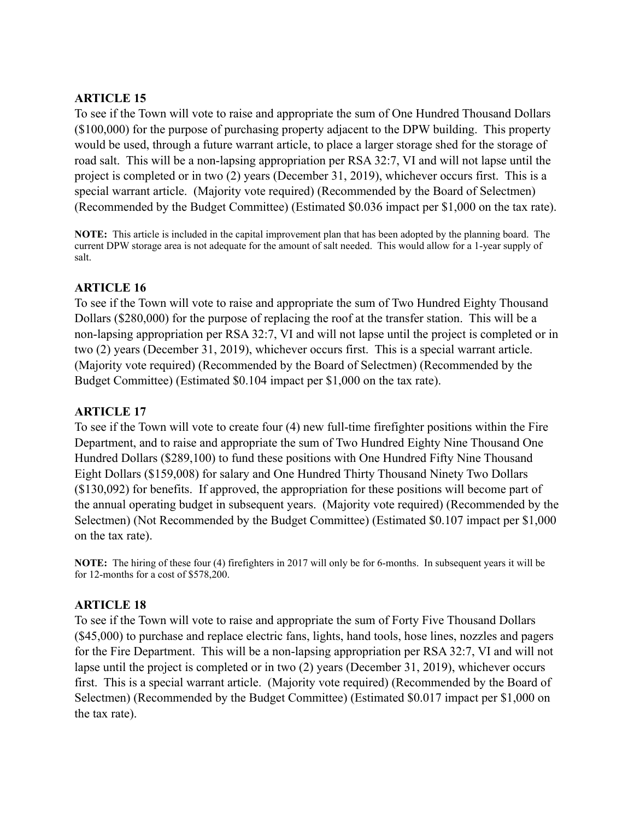## **ARTICLE 15**

To see if the Town will vote to raise and appropriate the sum of One Hundred Thousand Dollars (\$100,000) for the purpose of purchasing property adjacent to the DPW building. This property would be used, through a future warrant article, to place a larger storage shed for the storage of road salt. This will be a non-lapsing appropriation per RSA 32:7, VI and will not lapse until the project is completed or in two (2) years (December 31, 2019), whichever occurs first. This is a special warrant article. (Majority vote required) (Recommended by the Board of Selectmen) (Recommended by the Budget Committee) (Estimated \$0.036 impact per \$1,000 on the tax rate).

**NOTE:** This article is included in the capital improvement plan that has been adopted by the planning board. The current DPW storage area is not adequate for the amount of salt needed. This would allow for a 1-year supply of salt.

## **ARTICLE 16**

To see if the Town will vote to raise and appropriate the sum of Two Hundred Eighty Thousand Dollars (\$280,000) for the purpose of replacing the roof at the transfer station. This will be a non-lapsing appropriation per RSA 32:7, VI and will not lapse until the project is completed or in two (2) years (December 31, 2019), whichever occurs first. This is a special warrant article. (Majority vote required) (Recommended by the Board of Selectmen) (Recommended by the Budget Committee) (Estimated \$0.104 impact per \$1,000 on the tax rate).

## **ARTICLE 17**

To see if the Town will vote to create four (4) new full-time firefighter positions within the Fire Department, and to raise and appropriate the sum of Two Hundred Eighty Nine Thousand One Hundred Dollars (\$289,100) to fund these positions with One Hundred Fifty Nine Thousand Eight Dollars (\$159,008) for salary and One Hundred Thirty Thousand Ninety Two Dollars (\$130,092) for benefits. If approved, the appropriation for these positions will become part of the annual operating budget in subsequent years. (Majority vote required) (Recommended by the Selectmen) (Not Recommended by the Budget Committee) (Estimated \$0.107 impact per \$1,000 on the tax rate).

**NOTE:** The hiring of these four (4) firefighters in 2017 will only be for 6-months. In subsequent years it will be for 12-months for a cost of \$578,200.

## **ARTICLE 18**

To see if the Town will vote to raise and appropriate the sum of Forty Five Thousand Dollars (\$45,000) to purchase and replace electric fans, lights, hand tools, hose lines, nozzles and pagers for the Fire Department. This will be a non-lapsing appropriation per RSA 32:7, VI and will not lapse until the project is completed or in two (2) years (December 31, 2019), whichever occurs first. This is a special warrant article. (Majority vote required) (Recommended by the Board of Selectmen) (Recommended by the Budget Committee) (Estimated \$0.017 impact per \$1,000 on the tax rate).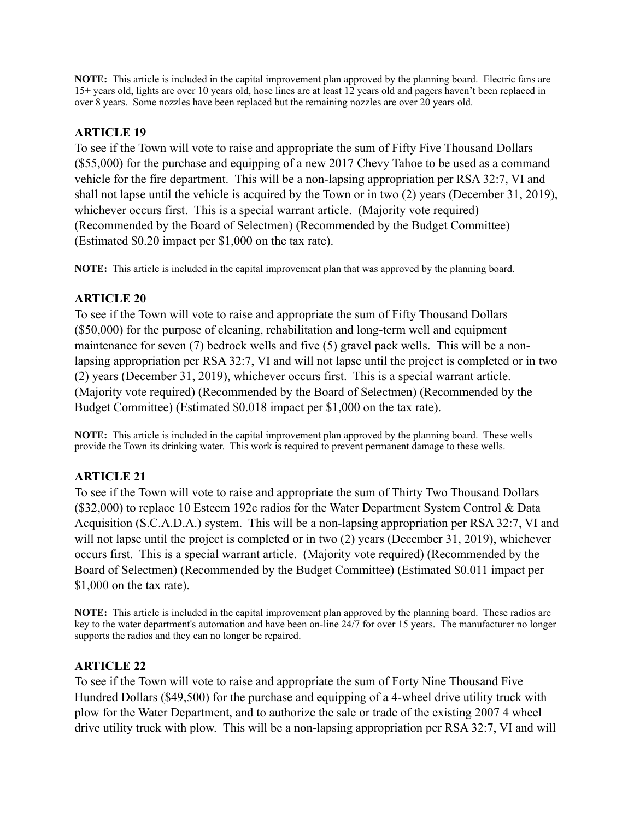**NOTE:** This article is included in the capital improvement plan approved by the planning board. Electric fans are 15+ years old, lights are over 10 years old, hose lines are at least 12 years old and pagers haven't been replaced in over 8 years. Some nozzles have been replaced but the remaining nozzles are over 20 years old.

# **ARTICLE 19**

To see if the Town will vote to raise and appropriate the sum of Fifty Five Thousand Dollars (\$55,000) for the purchase and equipping of a new 2017 Chevy Tahoe to be used as a command vehicle for the fire department. This will be a non-lapsing appropriation per RSA 32:7, VI and shall not lapse until the vehicle is acquired by the Town or in two (2) years (December 31, 2019), whichever occurs first. This is a special warrant article. (Majority vote required) (Recommended by the Board of Selectmen) (Recommended by the Budget Committee) (Estimated \$0.20 impact per \$1,000 on the tax rate).

**NOTE:** This article is included in the capital improvement plan that was approved by the planning board.

#### **ARTICLE 20**

To see if the Town will vote to raise and appropriate the sum of Fifty Thousand Dollars (\$50,000) for the purpose of cleaning, rehabilitation and long-term well and equipment maintenance for seven (7) bedrock wells and five (5) gravel pack wells. This will be a nonlapsing appropriation per RSA 32:7, VI and will not lapse until the project is completed or in two (2) years (December 31, 2019), whichever occurs first. This is a special warrant article. (Majority vote required) (Recommended by the Board of Selectmen) (Recommended by the Budget Committee) (Estimated \$0.018 impact per \$1,000 on the tax rate).

**NOTE:** This article is included in the capital improvement plan approved by the planning board. These wells provide the Town its drinking water. This work is required to prevent permanent damage to these wells.

## **ARTICLE 21**

To see if the Town will vote to raise and appropriate the sum of Thirty Two Thousand Dollars (\$32,000) to replace 10 Esteem 192c radios for the Water Department System Control & Data Acquisition (S.C.A.D.A.) system. This will be a non-lapsing appropriation per RSA 32:7, VI and will not lapse until the project is completed or in two  $(2)$  years (December 31, 2019), whichever occurs first. This is a special warrant article. (Majority vote required) (Recommended by the Board of Selectmen) (Recommended by the Budget Committee) (Estimated \$0.011 impact per \$1,000 on the tax rate).

**NOTE:** This article is included in the capital improvement plan approved by the planning board. These radios are key to the water department's automation and have been on-line 24/7 for over 15 years. The manufacturer no longer supports the radios and they can no longer be repaired.

## **ARTICLE 22**

To see if the Town will vote to raise and appropriate the sum of Forty Nine Thousand Five Hundred Dollars (\$49,500) for the purchase and equipping of a 4-wheel drive utility truck with plow for the Water Department, and to authorize the sale or trade of the existing 2007 4 wheel drive utility truck with plow. This will be a non-lapsing appropriation per RSA 32:7, VI and will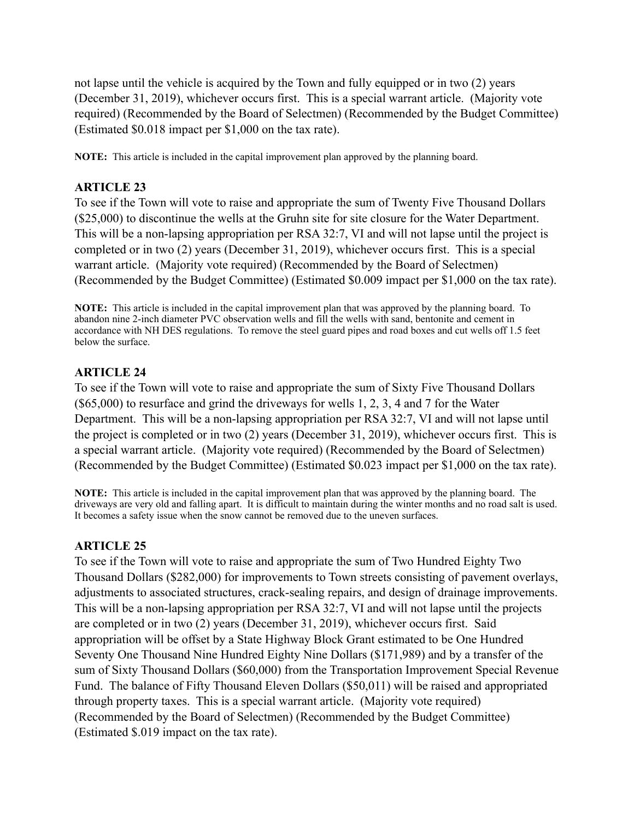not lapse until the vehicle is acquired by the Town and fully equipped or in two (2) years (December 31, 2019), whichever occurs first. This is a special warrant article. (Majority vote required) (Recommended by the Board of Selectmen) (Recommended by the Budget Committee) (Estimated \$0.018 impact per \$1,000 on the tax rate).

**NOTE:** This article is included in the capital improvement plan approved by the planning board.

## **ARTICLE 23**

To see if the Town will vote to raise and appropriate the sum of Twenty Five Thousand Dollars (\$25,000) to discontinue the wells at the Gruhn site for site closure for the Water Department. This will be a non-lapsing appropriation per RSA 32:7, VI and will not lapse until the project is completed or in two (2) years (December 31, 2019), whichever occurs first. This is a special warrant article. (Majority vote required) (Recommended by the Board of Selectmen) (Recommended by the Budget Committee) (Estimated \$0.009 impact per \$1,000 on the tax rate).

**NOTE:** This article is included in the capital improvement plan that was approved by the planning board. To abandon nine 2-inch diameter PVC observation wells and fill the wells with sand, bentonite and cement in accordance with NH DES regulations. To remove the steel guard pipes and road boxes and cut wells off 1.5 feet below the surface.

## **ARTICLE 24**

To see if the Town will vote to raise and appropriate the sum of Sixty Five Thousand Dollars (\$65,000) to resurface and grind the driveways for wells 1, 2, 3, 4 and 7 for the Water Department. This will be a non-lapsing appropriation per RSA 32:7, VI and will not lapse until the project is completed or in two (2) years (December 31, 2019), whichever occurs first. This is a special warrant article. (Majority vote required) (Recommended by the Board of Selectmen) (Recommended by the Budget Committee) (Estimated \$0.023 impact per \$1,000 on the tax rate).

**NOTE:** This article is included in the capital improvement plan that was approved by the planning board. The driveways are very old and falling apart. It is difficult to maintain during the winter months and no road salt is used. It becomes a safety issue when the snow cannot be removed due to the uneven surfaces.

# **ARTICLE 25**

To see if the Town will vote to raise and appropriate the sum of Two Hundred Eighty Two Thousand Dollars (\$282,000) for improvements to Town streets consisting of pavement overlays, adjustments to associated structures, crack-sealing repairs, and design of drainage improvements. This will be a non-lapsing appropriation per RSA 32:7, VI and will not lapse until the projects are completed or in two (2) years (December 31, 2019), whichever occurs first. Said appropriation will be offset by a State Highway Block Grant estimated to be One Hundred Seventy One Thousand Nine Hundred Eighty Nine Dollars (\$171,989) and by a transfer of the sum of Sixty Thousand Dollars (\$60,000) from the Transportation Improvement Special Revenue Fund. The balance of Fifty Thousand Eleven Dollars (\$50,011) will be raised and appropriated through property taxes. This is a special warrant article. (Majority vote required) (Recommended by the Board of Selectmen) (Recommended by the Budget Committee) (Estimated \$.019 impact on the tax rate).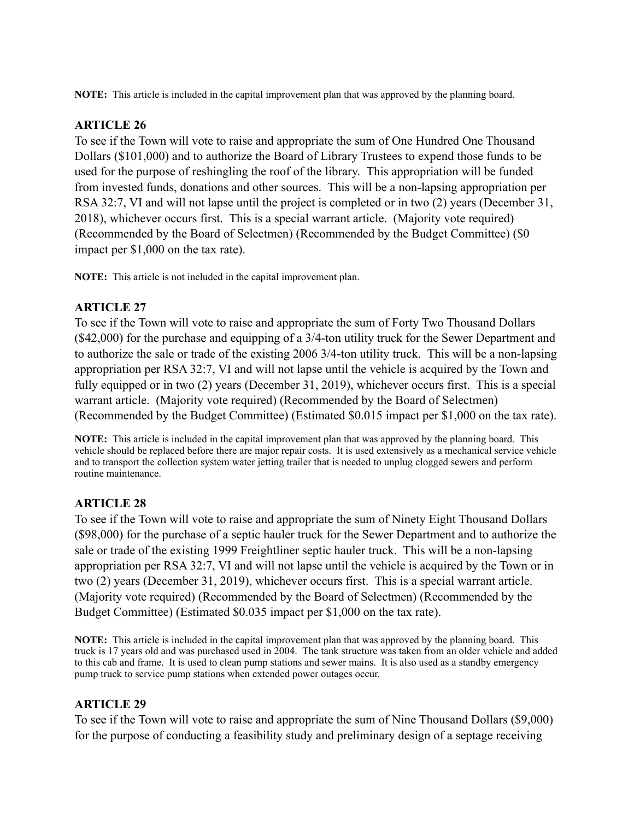**NOTE:** This article is included in the capital improvement plan that was approved by the planning board.

## **ARTICLE 26**

To see if the Town will vote to raise and appropriate the sum of One Hundred One Thousand Dollars (\$101,000) and to authorize the Board of Library Trustees to expend those funds to be used for the purpose of reshingling the roof of the library. This appropriation will be funded from invested funds, donations and other sources. This will be a non-lapsing appropriation per RSA 32:7, VI and will not lapse until the project is completed or in two (2) years (December 31, 2018), whichever occurs first. This is a special warrant article. (Majority vote required) (Recommended by the Board of Selectmen) (Recommended by the Budget Committee) (\$0 impact per \$1,000 on the tax rate).

**NOTE:** This article is not included in the capital improvement plan.

# **ARTICLE 27**

To see if the Town will vote to raise and appropriate the sum of Forty Two Thousand Dollars (\$42,000) for the purchase and equipping of a 3/4-ton utility truck for the Sewer Department and to authorize the sale or trade of the existing 2006 3/4-ton utility truck. This will be a non-lapsing appropriation per RSA 32:7, VI and will not lapse until the vehicle is acquired by the Town and fully equipped or in two (2) years (December 31, 2019), whichever occurs first. This is a special warrant article. (Majority vote required) (Recommended by the Board of Selectmen) (Recommended by the Budget Committee) (Estimated \$0.015 impact per \$1,000 on the tax rate).

**NOTE:** This article is included in the capital improvement plan that was approved by the planning board. This vehicle should be replaced before there are major repair costs. It is used extensively as a mechanical service vehicle and to transport the collection system water jetting trailer that is needed to unplug clogged sewers and perform routine maintenance.

# **ARTICLE 28**

To see if the Town will vote to raise and appropriate the sum of Ninety Eight Thousand Dollars (\$98,000) for the purchase of a septic hauler truck for the Sewer Department and to authorize the sale or trade of the existing 1999 Freightliner septic hauler truck. This will be a non-lapsing appropriation per RSA 32:7, VI and will not lapse until the vehicle is acquired by the Town or in two (2) years (December 31, 2019), whichever occurs first. This is a special warrant article. (Majority vote required) (Recommended by the Board of Selectmen) (Recommended by the Budget Committee) (Estimated \$0.035 impact per \$1,000 on the tax rate).

**NOTE:** This article is included in the capital improvement plan that was approved by the planning board. This truck is 17 years old and was purchased used in 2004. The tank structure was taken from an older vehicle and added to this cab and frame. It is used to clean pump stations and sewer mains. It is also used as a standby emergency pump truck to service pump stations when extended power outages occur.

## **ARTICLE 29**

To see if the Town will vote to raise and appropriate the sum of Nine Thousand Dollars (\$9,000) for the purpose of conducting a feasibility study and preliminary design of a septage receiving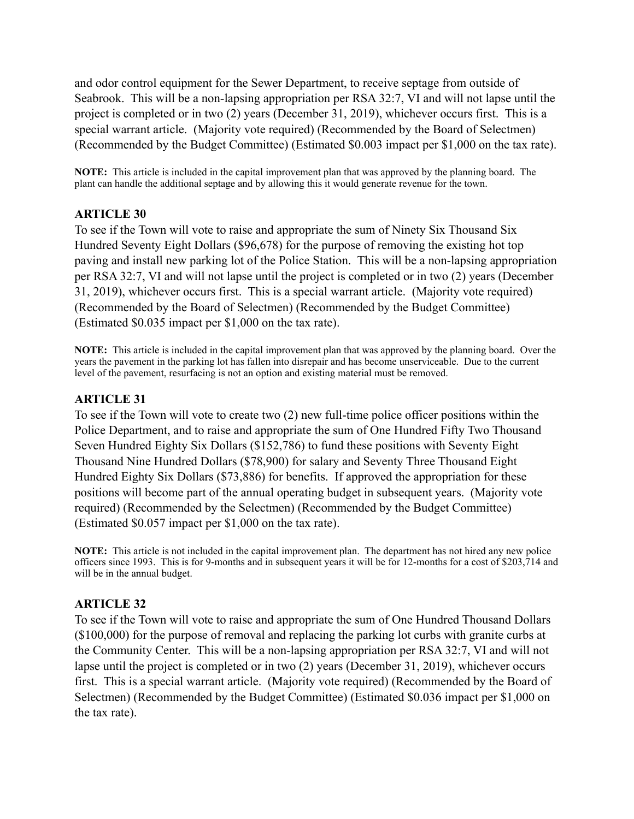and odor control equipment for the Sewer Department, to receive septage from outside of Seabrook. This will be a non-lapsing appropriation per RSA 32:7, VI and will not lapse until the project is completed or in two (2) years (December 31, 2019), whichever occurs first. This is a special warrant article. (Majority vote required) (Recommended by the Board of Selectmen) (Recommended by the Budget Committee) (Estimated \$0.003 impact per \$1,000 on the tax rate).

**NOTE:** This article is included in the capital improvement plan that was approved by the planning board. The plant can handle the additional septage and by allowing this it would generate revenue for the town.

#### **ARTICLE 30**

To see if the Town will vote to raise and appropriate the sum of Ninety Six Thousand Six Hundred Seventy Eight Dollars (\$96,678) for the purpose of removing the existing hot top paving and install new parking lot of the Police Station. This will be a non-lapsing appropriation per RSA 32:7, VI and will not lapse until the project is completed or in two (2) years (December 31, 2019), whichever occurs first. This is a special warrant article. (Majority vote required) (Recommended by the Board of Selectmen) (Recommended by the Budget Committee) (Estimated \$0.035 impact per \$1,000 on the tax rate).

**NOTE:** This article is included in the capital improvement plan that was approved by the planning board. Over the years the pavement in the parking lot has fallen into disrepair and has become unserviceable. Due to the current level of the pavement, resurfacing is not an option and existing material must be removed.

#### **ARTICLE 31**

To see if the Town will vote to create two (2) new full-time police officer positions within the Police Department, and to raise and appropriate the sum of One Hundred Fifty Two Thousand Seven Hundred Eighty Six Dollars (\$152,786) to fund these positions with Seventy Eight Thousand Nine Hundred Dollars (\$78,900) for salary and Seventy Three Thousand Eight Hundred Eighty Six Dollars (\$73,886) for benefits. If approved the appropriation for these positions will become part of the annual operating budget in subsequent years. (Majority vote required) (Recommended by the Selectmen) (Recommended by the Budget Committee) (Estimated \$0.057 impact per \$1,000 on the tax rate).

**NOTE:** This article is not included in the capital improvement plan. The department has not hired any new police officers since 1993. This is for 9-months and in subsequent years it will be for 12-months for a cost of \$203,714 and will be in the annual budget.

#### **ARTICLE 32**

To see if the Town will vote to raise and appropriate the sum of One Hundred Thousand Dollars (\$100,000) for the purpose of removal and replacing the parking lot curbs with granite curbs at the Community Center. This will be a non-lapsing appropriation per RSA 32:7, VI and will not lapse until the project is completed or in two (2) years (December 31, 2019), whichever occurs first. This is a special warrant article. (Majority vote required) (Recommended by the Board of Selectmen) (Recommended by the Budget Committee) (Estimated \$0.036 impact per \$1,000 on the tax rate).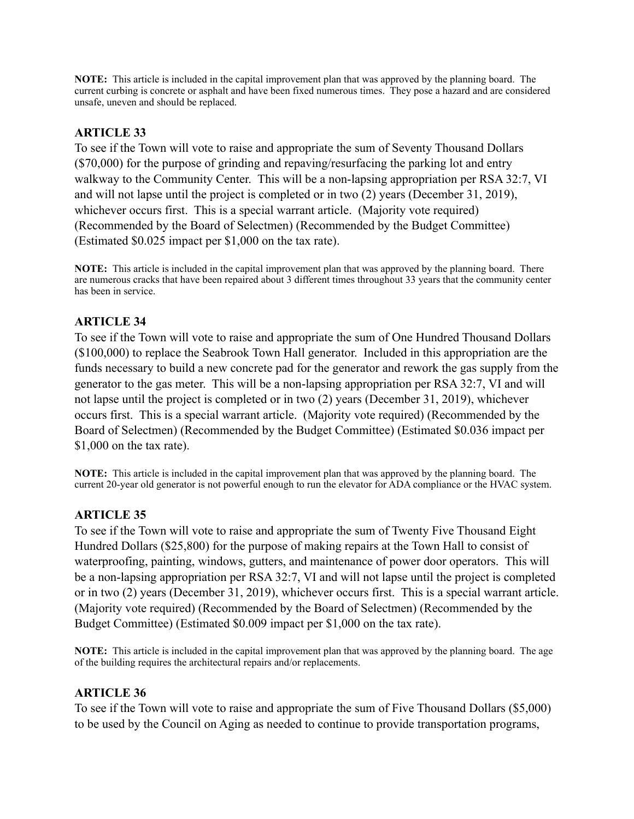**NOTE:** This article is included in the capital improvement plan that was approved by the planning board. The current curbing is concrete or asphalt and have been fixed numerous times. They pose a hazard and are considered unsafe, uneven and should be replaced.

# **ARTICLE 33**

To see if the Town will vote to raise and appropriate the sum of Seventy Thousand Dollars (\$70,000) for the purpose of grinding and repaving/resurfacing the parking lot and entry walkway to the Community Center. This will be a non-lapsing appropriation per RSA 32:7, VI and will not lapse until the project is completed or in two (2) years (December 31, 2019), whichever occurs first. This is a special warrant article. (Majority vote required) (Recommended by the Board of Selectmen) (Recommended by the Budget Committee) (Estimated \$0.025 impact per \$1,000 on the tax rate).

**NOTE:** This article is included in the capital improvement plan that was approved by the planning board. There are numerous cracks that have been repaired about 3 different times throughout 33 years that the community center has been in service.

# **ARTICLE 34**

To see if the Town will vote to raise and appropriate the sum of One Hundred Thousand Dollars (\$100,000) to replace the Seabrook Town Hall generator. Included in this appropriation are the funds necessary to build a new concrete pad for the generator and rework the gas supply from the generator to the gas meter. This will be a non-lapsing appropriation per RSA 32:7, VI and will not lapse until the project is completed or in two (2) years (December 31, 2019), whichever occurs first. This is a special warrant article. (Majority vote required) (Recommended by the Board of Selectmen) (Recommended by the Budget Committee) (Estimated \$0.036 impact per \$1,000 on the tax rate).

**NOTE:** This article is included in the capital improvement plan that was approved by the planning board. The current 20-year old generator is not powerful enough to run the elevator for ADA compliance or the HVAC system.

# **ARTICLE 35**

To see if the Town will vote to raise and appropriate the sum of Twenty Five Thousand Eight Hundred Dollars (\$25,800) for the purpose of making repairs at the Town Hall to consist of waterproofing, painting, windows, gutters, and maintenance of power door operators. This will be a non-lapsing appropriation per RSA 32:7, VI and will not lapse until the project is completed or in two (2) years (December 31, 2019), whichever occurs first. This is a special warrant article. (Majority vote required) (Recommended by the Board of Selectmen) (Recommended by the Budget Committee) (Estimated \$0.009 impact per \$1,000 on the tax rate).

**NOTE:** This article is included in the capital improvement plan that was approved by the planning board. The age of the building requires the architectural repairs and/or replacements.

## **ARTICLE 36**

To see if the Town will vote to raise and appropriate the sum of Five Thousand Dollars (\$5,000) to be used by the Council on Aging as needed to continue to provide transportation programs,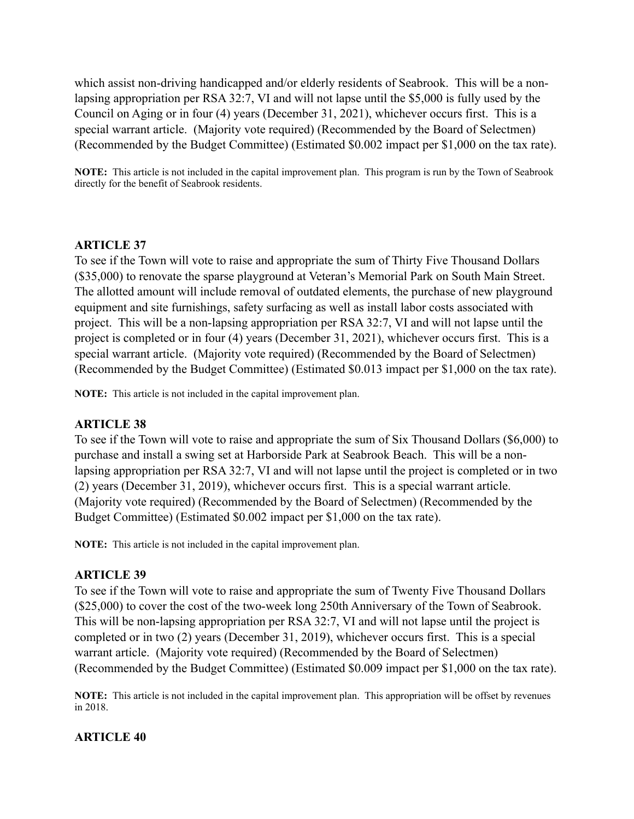which assist non-driving handicapped and/or elderly residents of Seabrook. This will be a nonlapsing appropriation per RSA 32:7, VI and will not lapse until the \$5,000 is fully used by the Council on Aging or in four (4) years (December 31, 2021), whichever occurs first. This is a special warrant article. (Majority vote required) (Recommended by the Board of Selectmen) (Recommended by the Budget Committee) (Estimated \$0.002 impact per \$1,000 on the tax rate).

**NOTE:** This article is not included in the capital improvement plan. This program is run by the Town of Seabrook directly for the benefit of Seabrook residents.

#### **ARTICLE 37**

To see if the Town will vote to raise and appropriate the sum of Thirty Five Thousand Dollars (\$35,000) to renovate the sparse playground at Veteran's Memorial Park on South Main Street. The allotted amount will include removal of outdated elements, the purchase of new playground equipment and site furnishings, safety surfacing as well as install labor costs associated with project. This will be a non-lapsing appropriation per RSA 32:7, VI and will not lapse until the project is completed or in four (4) years (December 31, 2021), whichever occurs first. This is a special warrant article. (Majority vote required) (Recommended by the Board of Selectmen) (Recommended by the Budget Committee) (Estimated \$0.013 impact per \$1,000 on the tax rate).

**NOTE:** This article is not included in the capital improvement plan.

## **ARTICLE 38**

To see if the Town will vote to raise and appropriate the sum of Six Thousand Dollars (\$6,000) to purchase and install a swing set at Harborside Park at Seabrook Beach. This will be a nonlapsing appropriation per RSA 32:7, VI and will not lapse until the project is completed or in two (2) years (December 31, 2019), whichever occurs first. This is a special warrant article. (Majority vote required) (Recommended by the Board of Selectmen) (Recommended by the Budget Committee) (Estimated \$0.002 impact per \$1,000 on the tax rate).

**NOTE:** This article is not included in the capital improvement plan.

#### **ARTICLE 39**

To see if the Town will vote to raise and appropriate the sum of Twenty Five Thousand Dollars (\$25,000) to cover the cost of the two-week long 250th Anniversary of the Town of Seabrook. This will be non-lapsing appropriation per RSA 32:7, VI and will not lapse until the project is completed or in two (2) years (December 31, 2019), whichever occurs first. This is a special warrant article. (Majority vote required) (Recommended by the Board of Selectmen) (Recommended by the Budget Committee) (Estimated \$0.009 impact per \$1,000 on the tax rate).

**NOTE:** This article is not included in the capital improvement plan. This appropriation will be offset by revenues in 2018.

#### **ARTICLE 40**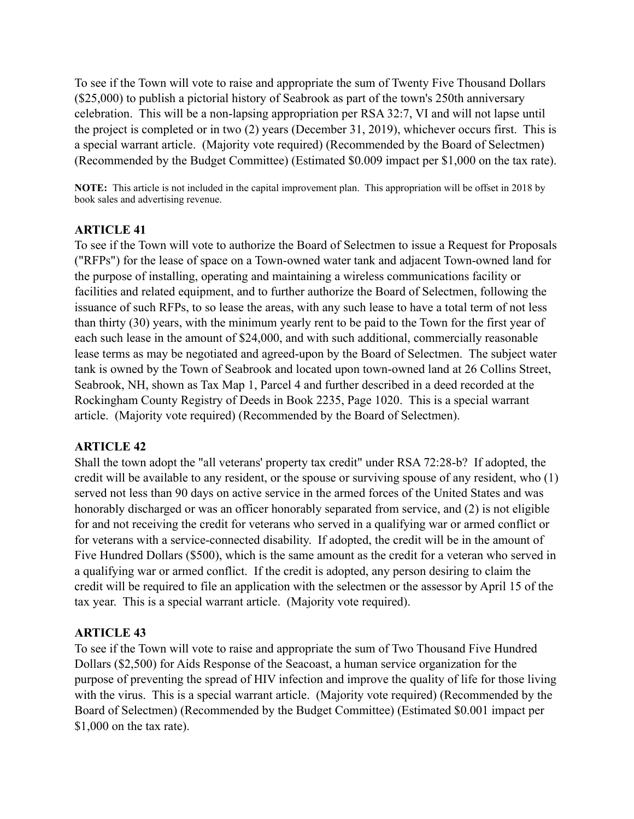To see if the Town will vote to raise and appropriate the sum of Twenty Five Thousand Dollars (\$25,000) to publish a pictorial history of Seabrook as part of the town's 250th anniversary celebration. This will be a non-lapsing appropriation per RSA 32:7, VI and will not lapse until the project is completed or in two (2) years (December 31, 2019), whichever occurs first. This is a special warrant article. (Majority vote required) (Recommended by the Board of Selectmen) (Recommended by the Budget Committee) (Estimated \$0.009 impact per \$1,000 on the tax rate).

**NOTE:** This article is not included in the capital improvement plan. This appropriation will be offset in 2018 by book sales and advertising revenue.

## **ARTICLE 41**

To see if the Town will vote to authorize the Board of Selectmen to issue a Request for Proposals ("RFPs") for the lease of space on a Town-owned water tank and adjacent Town-owned land for the purpose of installing, operating and maintaining a wireless communications facility or facilities and related equipment, and to further authorize the Board of Selectmen, following the issuance of such RFPs, to so lease the areas, with any such lease to have a total term of not less than thirty (30) years, with the minimum yearly rent to be paid to the Town for the first year of each such lease in the amount of \$24,000, and with such additional, commercially reasonable lease terms as may be negotiated and agreed-upon by the Board of Selectmen. The subject water tank is owned by the Town of Seabrook and located upon town-owned land at 26 Collins Street, Seabrook, NH, shown as Tax Map 1, Parcel 4 and further described in a deed recorded at the Rockingham County Registry of Deeds in Book 2235, Page 1020. This is a special warrant article. (Majority vote required) (Recommended by the Board of Selectmen).

## **ARTICLE 42**

Shall the town adopt the "all veterans' property tax credit" under RSA 72:28-b? If adopted, the credit will be available to any resident, or the spouse or surviving spouse of any resident, who (1) served not less than 90 days on active service in the armed forces of the United States and was honorably discharged or was an officer honorably separated from service, and (2) is not eligible for and not receiving the credit for veterans who served in a qualifying war or armed conflict or for veterans with a service-connected disability. If adopted, the credit will be in the amount of Five Hundred Dollars (\$500), which is the same amount as the credit for a veteran who served in a qualifying war or armed conflict. If the credit is adopted, any person desiring to claim the credit will be required to file an application with the selectmen or the assessor by April 15 of the tax year. This is a special warrant article. (Majority vote required).

## **ARTICLE 43**

To see if the Town will vote to raise and appropriate the sum of Two Thousand Five Hundred Dollars (\$2,500) for Aids Response of the Seacoast, a human service organization for the purpose of preventing the spread of HIV infection and improve the quality of life for those living with the virus. This is a special warrant article. (Majority vote required) (Recommended by the Board of Selectmen) (Recommended by the Budget Committee) (Estimated \$0.001 impact per \$1,000 on the tax rate).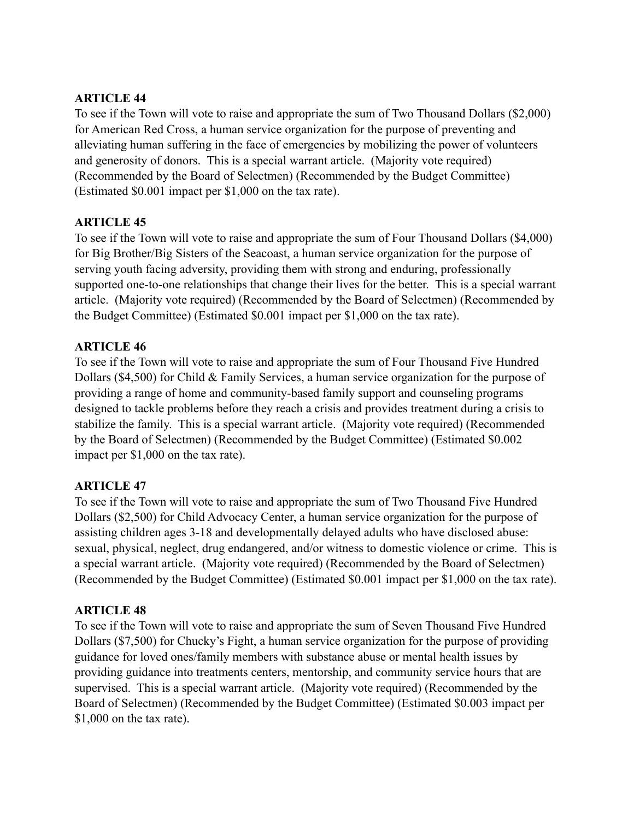## **ARTICLE 44**

To see if the Town will vote to raise and appropriate the sum of Two Thousand Dollars (\$2,000) for American Red Cross, a human service organization for the purpose of preventing and alleviating human suffering in the face of emergencies by mobilizing the power of volunteers and generosity of donors. This is a special warrant article. (Majority vote required) (Recommended by the Board of Selectmen) (Recommended by the Budget Committee) (Estimated \$0.001 impact per \$1,000 on the tax rate).

## **ARTICLE 45**

To see if the Town will vote to raise and appropriate the sum of Four Thousand Dollars (\$4,000) for Big Brother/Big Sisters of the Seacoast, a human service organization for the purpose of serving youth facing adversity, providing them with strong and enduring, professionally supported one-to-one relationships that change their lives for the better. This is a special warrant article. (Majority vote required) (Recommended by the Board of Selectmen) (Recommended by the Budget Committee) (Estimated \$0.001 impact per \$1,000 on the tax rate).

## **ARTICLE 46**

To see if the Town will vote to raise and appropriate the sum of Four Thousand Five Hundred Dollars (\$4,500) for Child & Family Services, a human service organization for the purpose of providing a range of home and community-based family support and counseling programs designed to tackle problems before they reach a crisis and provides treatment during a crisis to stabilize the family. This is a special warrant article. (Majority vote required) (Recommended by the Board of Selectmen) (Recommended by the Budget Committee) (Estimated \$0.002 impact per \$1,000 on the tax rate).

# **ARTICLE 47**

To see if the Town will vote to raise and appropriate the sum of Two Thousand Five Hundred Dollars (\$2,500) for Child Advocacy Center, a human service organization for the purpose of assisting children ages 3-18 and developmentally delayed adults who have disclosed abuse: sexual, physical, neglect, drug endangered, and/or witness to domestic violence or crime. This is a special warrant article. (Majority vote required) (Recommended by the Board of Selectmen) (Recommended by the Budget Committee) (Estimated \$0.001 impact per \$1,000 on the tax rate).

# **ARTICLE 48**

To see if the Town will vote to raise and appropriate the sum of Seven Thousand Five Hundred Dollars (\$7,500) for Chucky's Fight, a human service organization for the purpose of providing guidance for loved ones/family members with substance abuse or mental health issues by providing guidance into treatments centers, mentorship, and community service hours that are supervised. This is a special warrant article. (Majority vote required) (Recommended by the Board of Selectmen) (Recommended by the Budget Committee) (Estimated \$0.003 impact per \$1,000 on the tax rate).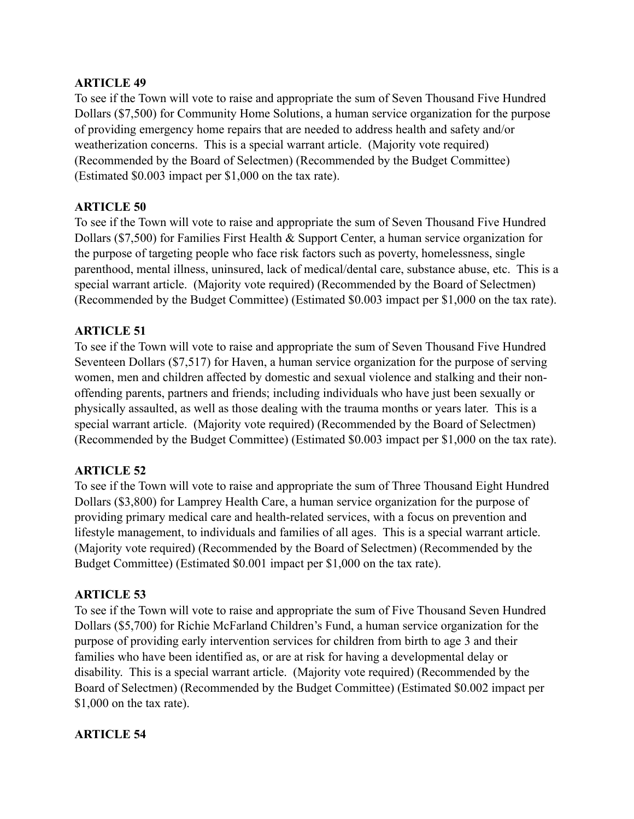## **ARTICLE 49**

To see if the Town will vote to raise and appropriate the sum of Seven Thousand Five Hundred Dollars (\$7,500) for Community Home Solutions, a human service organization for the purpose of providing emergency home repairs that are needed to address health and safety and/or weatherization concerns. This is a special warrant article. (Majority vote required) (Recommended by the Board of Selectmen) (Recommended by the Budget Committee) (Estimated \$0.003 impact per \$1,000 on the tax rate).

## **ARTICLE 50**

To see if the Town will vote to raise and appropriate the sum of Seven Thousand Five Hundred Dollars (\$7,500) for Families First Health & Support Center, a human service organization for the purpose of targeting people who face risk factors such as poverty, homelessness, single parenthood, mental illness, uninsured, lack of medical/dental care, substance abuse, etc. This is a special warrant article. (Majority vote required) (Recommended by the Board of Selectmen) (Recommended by the Budget Committee) (Estimated \$0.003 impact per \$1,000 on the tax rate).

## **ARTICLE 51**

To see if the Town will vote to raise and appropriate the sum of Seven Thousand Five Hundred Seventeen Dollars (\$7,517) for Haven, a human service organization for the purpose of serving women, men and children affected by domestic and sexual violence and stalking and their nonoffending parents, partners and friends; including individuals who have just been sexually or physically assaulted, as well as those dealing with the trauma months or years later. This is a special warrant article. (Majority vote required) (Recommended by the Board of Selectmen) (Recommended by the Budget Committee) (Estimated \$0.003 impact per \$1,000 on the tax rate).

## **ARTICLE 52**

To see if the Town will vote to raise and appropriate the sum of Three Thousand Eight Hundred Dollars (\$3,800) for Lamprey Health Care, a human service organization for the purpose of providing primary medical care and health-related services, with a focus on prevention and lifestyle management, to individuals and families of all ages. This is a special warrant article. (Majority vote required) (Recommended by the Board of Selectmen) (Recommended by the Budget Committee) (Estimated \$0.001 impact per \$1,000 on the tax rate).

# **ARTICLE 53**

To see if the Town will vote to raise and appropriate the sum of Five Thousand Seven Hundred Dollars (\$5,700) for Richie McFarland Children's Fund, a human service organization for the purpose of providing early intervention services for children from birth to age 3 and their families who have been identified as, or are at risk for having a developmental delay or disability. This is a special warrant article. (Majority vote required) (Recommended by the Board of Selectmen) (Recommended by the Budget Committee) (Estimated \$0.002 impact per \$1,000 on the tax rate).

## **ARTICLE 54**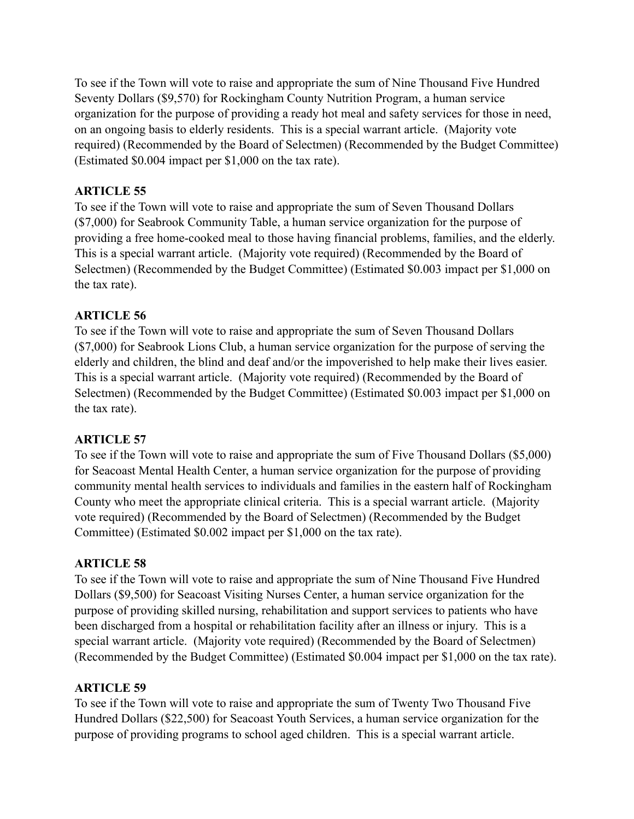To see if the Town will vote to raise and appropriate the sum of Nine Thousand Five Hundred Seventy Dollars (\$9,570) for Rockingham County Nutrition Program, a human service organization for the purpose of providing a ready hot meal and safety services for those in need, on an ongoing basis to elderly residents. This is a special warrant article. (Majority vote required) (Recommended by the Board of Selectmen) (Recommended by the Budget Committee) (Estimated \$0.004 impact per \$1,000 on the tax rate).

## **ARTICLE 55**

To see if the Town will vote to raise and appropriate the sum of Seven Thousand Dollars (\$7,000) for Seabrook Community Table, a human service organization for the purpose of providing a free home-cooked meal to those having financial problems, families, and the elderly. This is a special warrant article. (Majority vote required) (Recommended by the Board of Selectmen) (Recommended by the Budget Committee) (Estimated \$0.003 impact per \$1,000 on the tax rate).

## **ARTICLE 56**

To see if the Town will vote to raise and appropriate the sum of Seven Thousand Dollars (\$7,000) for Seabrook Lions Club, a human service organization for the purpose of serving the elderly and children, the blind and deaf and/or the impoverished to help make their lives easier. This is a special warrant article. (Majority vote required) (Recommended by the Board of Selectmen) (Recommended by the Budget Committee) (Estimated \$0.003 impact per \$1,000 on the tax rate).

# **ARTICLE 57**

To see if the Town will vote to raise and appropriate the sum of Five Thousand Dollars (\$5,000) for Seacoast Mental Health Center, a human service organization for the purpose of providing community mental health services to individuals and families in the eastern half of Rockingham County who meet the appropriate clinical criteria. This is a special warrant article. (Majority vote required) (Recommended by the Board of Selectmen) (Recommended by the Budget Committee) (Estimated \$0.002 impact per \$1,000 on the tax rate).

# **ARTICLE 58**

To see if the Town will vote to raise and appropriate the sum of Nine Thousand Five Hundred Dollars (\$9,500) for Seacoast Visiting Nurses Center, a human service organization for the purpose of providing skilled nursing, rehabilitation and support services to patients who have been discharged from a hospital or rehabilitation facility after an illness or injury. This is a special warrant article. (Majority vote required) (Recommended by the Board of Selectmen) (Recommended by the Budget Committee) (Estimated \$0.004 impact per \$1,000 on the tax rate).

# **ARTICLE 59**

To see if the Town will vote to raise and appropriate the sum of Twenty Two Thousand Five Hundred Dollars (\$22,500) for Seacoast Youth Services, a human service organization for the purpose of providing programs to school aged children. This is a special warrant article.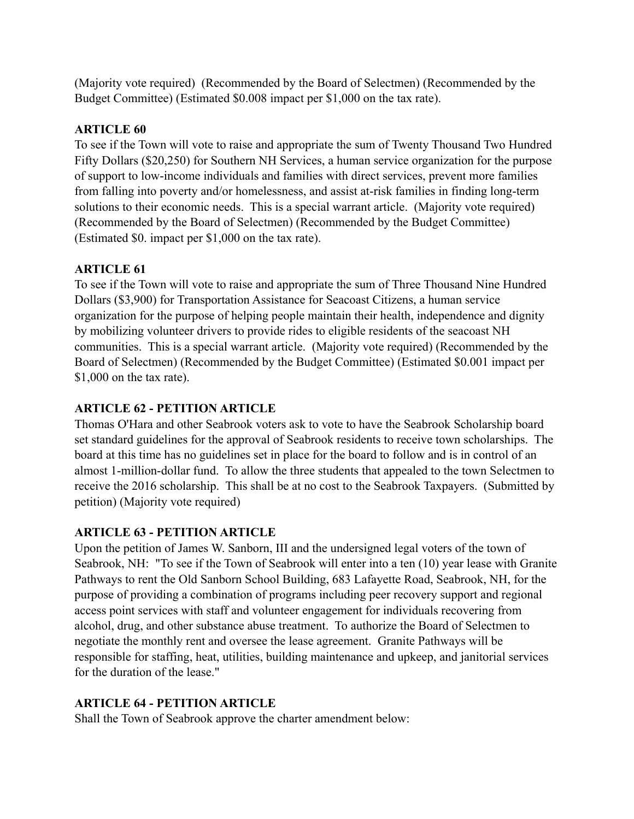(Majority vote required) (Recommended by the Board of Selectmen) (Recommended by the Budget Committee) (Estimated \$0.008 impact per \$1,000 on the tax rate).

## **ARTICLE 60**

To see if the Town will vote to raise and appropriate the sum of Twenty Thousand Two Hundred Fifty Dollars (\$20,250) for Southern NH Services, a human service organization for the purpose of support to low-income individuals and families with direct services, prevent more families from falling into poverty and/or homelessness, and assist at-risk families in finding long-term solutions to their economic needs. This is a special warrant article. (Majority vote required) (Recommended by the Board of Selectmen) (Recommended by the Budget Committee) (Estimated \$0. impact per \$1,000 on the tax rate).

# **ARTICLE 61**

To see if the Town will vote to raise and appropriate the sum of Three Thousand Nine Hundred Dollars (\$3,900) for Transportation Assistance for Seacoast Citizens, a human service organization for the purpose of helping people maintain their health, independence and dignity by mobilizing volunteer drivers to provide rides to eligible residents of the seacoast NH communities. This is a special warrant article. (Majority vote required) (Recommended by the Board of Selectmen) (Recommended by the Budget Committee) (Estimated \$0.001 impact per \$1,000 on the tax rate).

# **ARTICLE 62 - PETITION ARTICLE**

Thomas O'Hara and other Seabrook voters ask to vote to have the Seabrook Scholarship board set standard guidelines for the approval of Seabrook residents to receive town scholarships. The board at this time has no guidelines set in place for the board to follow and is in control of an almost 1-million-dollar fund. To allow the three students that appealed to the town Selectmen to receive the 2016 scholarship. This shall be at no cost to the Seabrook Taxpayers. (Submitted by petition) (Majority vote required)

# **ARTICLE 63 - PETITION ARTICLE**

Upon the petition of James W. Sanborn, III and the undersigned legal voters of the town of Seabrook, NH: "To see if the Town of Seabrook will enter into a ten (10) year lease with Granite Pathways to rent the Old Sanborn School Building, 683 Lafayette Road, Seabrook, NH, for the purpose of providing a combination of programs including peer recovery support and regional access point services with staff and volunteer engagement for individuals recovering from alcohol, drug, and other substance abuse treatment. To authorize the Board of Selectmen to negotiate the monthly rent and oversee the lease agreement. Granite Pathways will be responsible for staffing, heat, utilities, building maintenance and upkeep, and janitorial services for the duration of the lease."

# **ARTICLE 64 - PETITION ARTICLE**

Shall the Town of Seabrook approve the charter amendment below: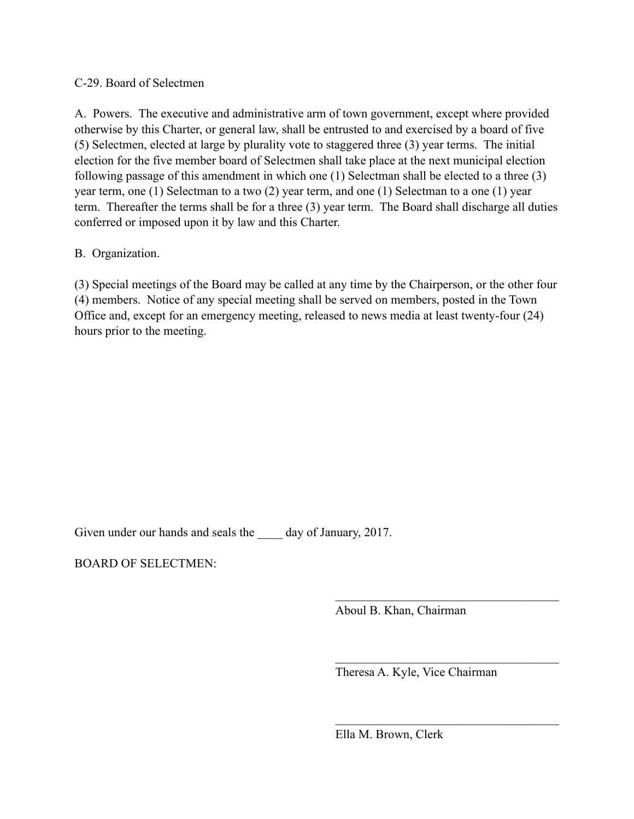#### C-29. Board of Selectmen

A. Powers. The executive and administrative arm of town government, except where provided otherwise by this Charter, or general law, shall be entrusted to and exercised by a board of five (5) Selectmen, elected at large by plurality vote to staggered three (3) year terms. The initial election for the five member board of Selectmen shall take place at the next municipal election following passage of this amendment in which one (1) Selectman shall be elected to a three (3) year term, one (1) Selectman to a two (2) year term, and one (1) Selectman to a one (1) year term. Thereafter the terms shall be for a three (3) year term. The Board shall discharge all duties conferred or imposed upon it by law and this Charter.

## B. Organization.

(3) Special meetings of the Board may be called at any time by the Chairperson, or the other four (4) members. Notice of any special meeting shall be served on members, posted in the Town Office and, except for an emergency meeting, released to news media at least twenty-four (24) hours prior to the meeting.

 $\mathcal{L}_\mathcal{L} = \{ \mathcal{L}_\mathcal{L} \mid \mathcal{L}_\mathcal{L} \in \mathcal{L}_\mathcal{L} \}$ 

 $\mathcal{L}_\mathcal{L} = \{ \mathcal{L}_\mathcal{L} \mid \mathcal{L}_\mathcal{L} \in \mathcal{L}_\mathcal{L} \}$ 

 $\mathcal{L}_\mathcal{L} = \{ \mathcal{L}_\mathcal{L} \mid \mathcal{L}_\mathcal{L} \in \mathcal{L}_\mathcal{L} \}$ 

Given under our hands and seals the \_\_\_\_\_ day of January, 2017.

BOARD OF SELECTMEN:

Aboul B. Khan, Chairman

Theresa A. Kyle, Vice Chairman

Ella M. Brown, Clerk